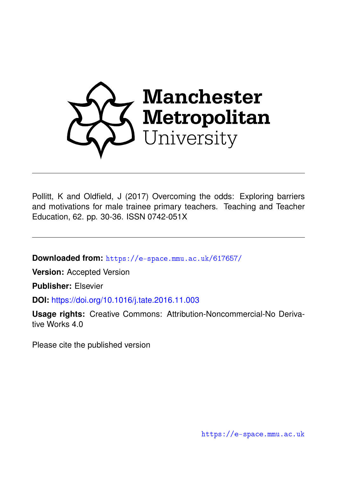

Pollitt, K and Oldfield, J (2017) Overcoming the odds: Exploring barriers and motivations for male trainee primary teachers. Teaching and Teacher Education, 62. pp. 30-36. ISSN 0742-051X

**Downloaded from:** <https://e-space.mmu.ac.uk/617657/>

**Version:** Accepted Version

**Publisher:** Elsevier

**DOI:** <https://doi.org/10.1016/j.tate.2016.11.003>

**Usage rights:** Creative Commons: Attribution-Noncommercial-No Derivative Works 4.0

Please cite the published version

<https://e-space.mmu.ac.uk>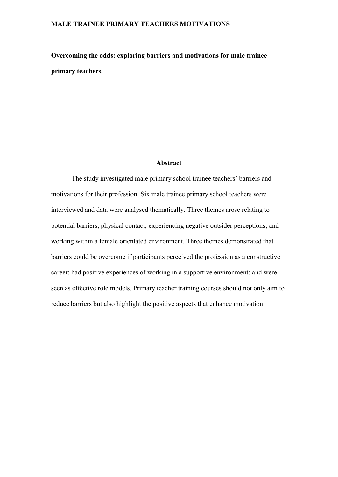**Overcoming the odds: exploring barriers and motivations for male trainee primary teachers.**

## **Abstract**

The study investigated male primary school trainee teachers' barriers and motivations for their profession. Six male trainee primary school teachers were interviewed and data were analysed thematically. Three themes arose relating to potential barriers; physical contact; experiencing negative outsider perceptions; and working within a female orientated environment. Three themes demonstrated that barriers could be overcome if participants perceived the profession as a constructive career; had positive experiences of working in a supportive environment; and were seen as effective role models. Primary teacher training courses should not only aim to reduce barriers but also highlight the positive aspects that enhance motivation.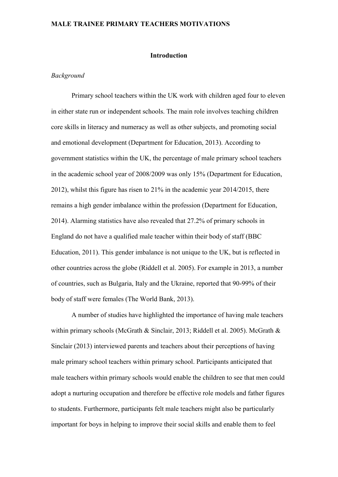#### **Introduction**

#### *Background*

Primary school teachers within the UK work with children aged four to eleven in either state run or independent schools. The main role involves teaching children core skills in literacy and numeracy as well as other subjects, and promoting social and emotional development (Department for Education, 2013). According to government statistics within the UK, the percentage of male primary school teachers in the academic school year of 2008/2009 was only 15% (Department for Education, 2012), whilst this figure has risen to 21% in the academic year 2014/2015, there remains a high gender imbalance within the profession (Department for Education, 2014). Alarming statistics have also revealed that 27.2% of primary schools in England do not have a qualified male teacher within their body of staff (BBC Education, 2011). This gender imbalance is not unique to the UK, but is reflected in other countries across the globe (Riddell et al. 2005). For example in 2013, a number of countries, such as Bulgaria, Italy and the Ukraine, reported that 90-99% of their body of staff were females (The World Bank, 2013).

A number of studies have highlighted the importance of having male teachers within primary schools (McGrath & Sinclair, 2013; Riddell et al. 2005). McGrath & Sinclair (2013) interviewed parents and teachers about their perceptions of having male primary school teachers within primary school. Participants anticipated that male teachers within primary schools would enable the children to see that men could adopt a nurturing occupation and therefore be effective role models and father figures to students. Furthermore, participants felt male teachers might also be particularly important for boys in helping to improve their social skills and enable them to feel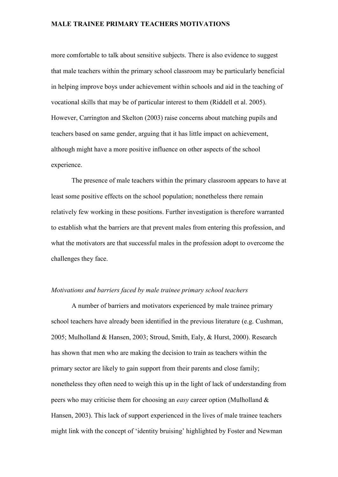more comfortable to talk about sensitive subjects. There is also evidence to suggest that male teachers within the primary school classroom may be particularly beneficial in helping improve boys under achievement within schools and aid in the teaching of vocational skills that may be of particular interest to them (Riddell et al. 2005). However, Carrington and Skelton (2003) raise concerns about matching pupils and teachers based on same gender, arguing that it has little impact on achievement, although might have a more positive influence on other aspects of the school experience.

The presence of male teachers within the primary classroom appears to have at least some positive effects on the school population; nonetheless there remain relatively few working in these positions. Further investigation is therefore warranted to establish what the barriers are that prevent males from entering this profession, and what the motivators are that successful males in the profession adopt to overcome the challenges they face.

#### *Motivations and barriers faced by male trainee primary school teachers*

A number of barriers and motivators experienced by male trainee primary school teachers have already been identified in the previous literature (e.g. Cushman, 2005; Mulholland & Hansen, 2003; Stroud, Smith, Ealy, & Hurst, 2000). Research has shown that men who are making the decision to train as teachers within the primary sector are likely to gain support from their parents and close family; nonetheless they often need to weigh this up in the light of lack of understanding from peers who may criticise them for choosing an *easy* career option (Mulholland & Hansen, 2003). This lack of support experienced in the lives of male trainee teachers might link with the concept of 'identity bruising' highlighted by Foster and Newman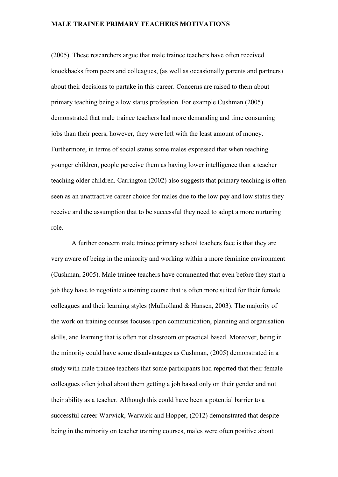(2005). These researchers argue that male trainee teachers have often received knockbacks from peers and colleagues, (as well as occasionally parents and partners) about their decisions to partake in this career. Concerns are raised to them about primary teaching being a low status profession. For example Cushman (2005) demonstrated that male trainee teachers had more demanding and time consuming jobs than their peers, however, they were left with the least amount of money. Furthermore, in terms of social status some males expressed that when teaching younger children, people perceive them as having lower intelligence than a teacher teaching older children. Carrington (2002) also suggests that primary teaching is often seen as an unattractive career choice for males due to the low pay and low status they receive and the assumption that to be successful they need to adopt a more nurturing role.

A further concern male trainee primary school teachers face is that they are very aware of being in the minority and working within a more feminine environment (Cushman, 2005). Male trainee teachers have commented that even before they start a job they have to negotiate a training course that is often more suited for their female colleagues and their learning styles (Mulholland & Hansen, 2003). The majority of the work on training courses focuses upon communication, planning and organisation skills, and learning that is often not classroom or practical based. Moreover, being in the minority could have some disadvantages as Cushman, (2005) demonstrated in a study with male trainee teachers that some participants had reported that their female colleagues often joked about them getting a job based only on their gender and not their ability as a teacher. Although this could have been a potential barrier to a successful career Warwick, Warwick and Hopper, (2012) demonstrated that despite being in the minority on teacher training courses, males were often positive about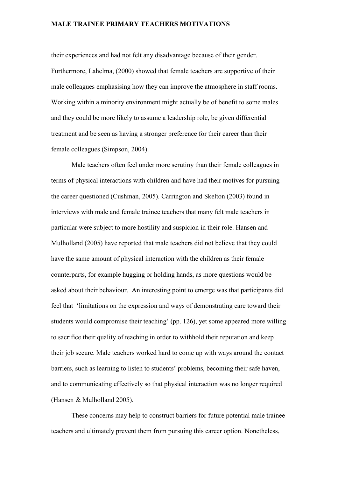their experiences and had not felt any disadvantage because of their gender. Furthermore, Lahelma, (2000) showed that female teachers are supportive of their male colleagues emphasising how they can improve the atmosphere in staff rooms. Working within a minority environment might actually be of benefit to some males and they could be more likely to assume a leadership role, be given differential treatment and be seen as having a stronger preference for their career than their female colleagues (Simpson, 2004).

Male teachers often feel under more scrutiny than their female colleagues in terms of physical interactions with children and have had their motives for pursuing the career questioned (Cushman, 2005). Carrington and Skelton (2003) found in interviews with male and female trainee teachers that many felt male teachers in particular were subject to more hostility and suspicion in their role. Hansen and Mulholland (2005) have reported that male teachers did not believe that they could have the same amount of physical interaction with the children as their female counterparts, for example hugging or holding hands, as more questions would be asked about their behaviour. An interesting point to emerge was that participants did feel that 'limitations on the expression and ways of demonstrating care toward their students would compromise their teaching' (pp. 126), yet some appeared more willing to sacrifice their quality of teaching in order to withhold their reputation and keep their job secure. Male teachers worked hard to come up with ways around the contact barriers, such as learning to listen to students' problems, becoming their safe haven, and to communicating effectively so that physical interaction was no longer required (Hansen & Mulholland 2005).

These concerns may help to construct barriers for future potential male trainee teachers and ultimately prevent them from pursuing this career option. Nonetheless,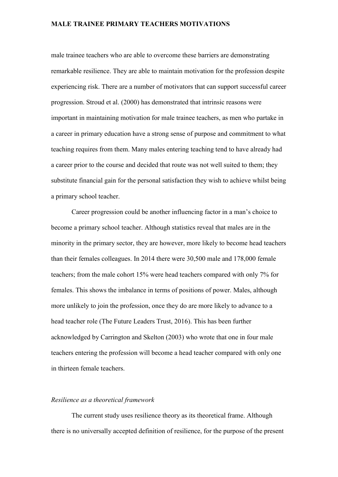male trainee teachers who are able to overcome these barriers are demonstrating remarkable resilience. They are able to maintain motivation for the profession despite experiencing risk. There are a number of motivators that can support successful career progression. Stroud et al. (2000) has demonstrated that intrinsic reasons were important in maintaining motivation for male trainee teachers, as men who partake in a career in primary education have a strong sense of purpose and commitment to what teaching requires from them. Many males entering teaching tend to have already had a career prior to the course and decided that route was not well suited to them; they substitute financial gain for the personal satisfaction they wish to achieve whilst being a primary school teacher.

Career progression could be another influencing factor in a man's choice to become a primary school teacher. Although statistics reveal that males are in the minority in the primary sector, they are however, more likely to become head teachers than their females colleagues. In 2014 there were 30,500 male and 178,000 female teachers; from the male cohort 15% were head teachers compared with only 7% for females. This shows the imbalance in terms of positions of power. Males, although more unlikely to join the profession, once they do are more likely to advance to a head teacher role (The Future Leaders Trust, 2016). This has been further acknowledged by Carrington and Skelton (2003) who wrote that one in four male teachers entering the profession will become a head teacher compared with only one in thirteen female teachers.

## *Resilience as a theoretical framework*

The current study uses resilience theory as its theoretical frame. Although there is no universally accepted definition of resilience, for the purpose of the present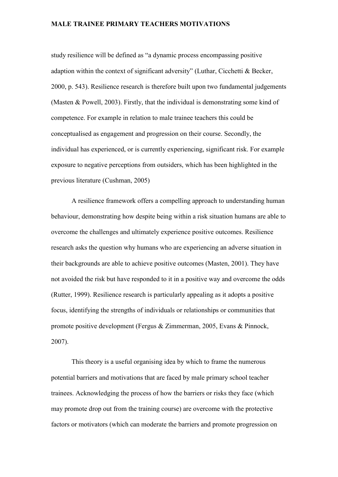study resilience will be defined as "a dynamic process encompassing positive adaption within the context of significant adversity" (Luthar, Cicchetti & Becker, 2000, p. 543). Resilience research is therefore built upon two fundamental judgements (Masten & Powell, 2003). Firstly, that the individual is demonstrating some kind of competence. For example in relation to male trainee teachers this could be conceptualised as engagement and progression on their course. Secondly, the individual has experienced, or is currently experiencing, significant risk. For example exposure to negative perceptions from outsiders, which has been highlighted in the previous literature (Cushman, 2005)

A resilience framework offers a compelling approach to understanding human behaviour, demonstrating how despite being within a risk situation humans are able to overcome the challenges and ultimately experience positive outcomes. Resilience research asks the question why humans who are experiencing an adverse situation in their backgrounds are able to achieve positive outcomes (Masten, 2001). They have not avoided the risk but have responded to it in a positive way and overcome the odds (Rutter, 1999). Resilience research is particularly appealing as it adopts a positive focus, identifying the strengths of individuals or relationships or communities that promote positive development (Fergus & Zimmerman, 2005, Evans & Pinnock, 2007).

This theory is a useful organising idea by which to frame the numerous potential barriers and motivations that are faced by male primary school teacher trainees. Acknowledging the process of how the barriers or risks they face (which may promote drop out from the training course) are overcome with the protective factors or motivators (which can moderate the barriers and promote progression on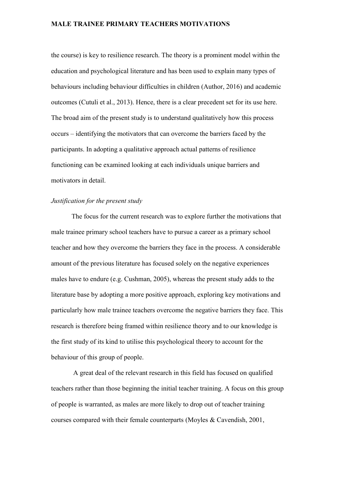the course) is key to resilience research. The theory is a prominent model within the education and psychological literature and has been used to explain many types of behaviours including behaviour difficulties in children (Author, 2016) and academic outcomes (Cutuli et al., 2013). Hence, there is a clear precedent set for its use here. The broad aim of the present study is to understand qualitatively how this process occurs – identifying the motivators that can overcome the barriers faced by the participants. In adopting a qualitative approach actual patterns of resilience functioning can be examined looking at each individuals unique barriers and motivators in detail.

# *Justification for the present study*

The focus for the current research was to explore further the motivations that male trainee primary school teachers have to pursue a career as a primary school teacher and how they overcome the barriers they face in the process. A considerable amount of the previous literature has focused solely on the negative experiences males have to endure (e.g. Cushman, 2005), whereas the present study adds to the literature base by adopting a more positive approach, exploring key motivations and particularly how male trainee teachers overcome the negative barriers they face. This research is therefore being framed within resilience theory and to our knowledge is the first study of its kind to utilise this psychological theory to account for the behaviour of this group of people.

A great deal of the relevant research in this field has focused on qualified teachers rather than those beginning the initial teacher training. A focus on this group of people is warranted, as males are more likely to drop out of teacher training courses compared with their female counterparts (Moyles & Cavendish, 2001,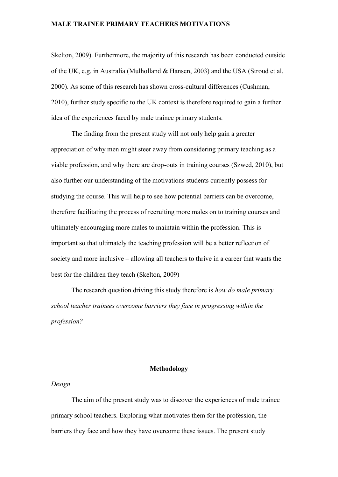Skelton, 2009). Furthermore, the majority of this research has been conducted outside of the UK, e.g. in Australia (Mulholland & Hansen, 2003) and the USA (Stroud et al. 2000). As some of this research has shown cross-cultural differences (Cushman, 2010), further study specific to the UK context is therefore required to gain a further idea of the experiences faced by male trainee primary students.

The finding from the present study will not only help gain a greater appreciation of why men might steer away from considering primary teaching as a viable profession, and why there are drop-outs in training courses (Szwed, 2010), but also further our understanding of the motivations students currently possess for studying the course. This will help to see how potential barriers can be overcome, therefore facilitating the process of recruiting more males on to training courses and ultimately encouraging more males to maintain within the profession. This is important so that ultimately the teaching profession will be a better reflection of society and more inclusive – allowing all teachers to thrive in a career that wants the best for the children they teach (Skelton, 2009)

The research question driving this study therefore is *how do male primary school teacher trainees overcome barriers they face in progressing within the profession?*

## **Methodology**

#### *Design*

The aim of the present study was to discover the experiences of male trainee primary school teachers. Exploring what motivates them for the profession, the barriers they face and how they have overcome these issues. The present study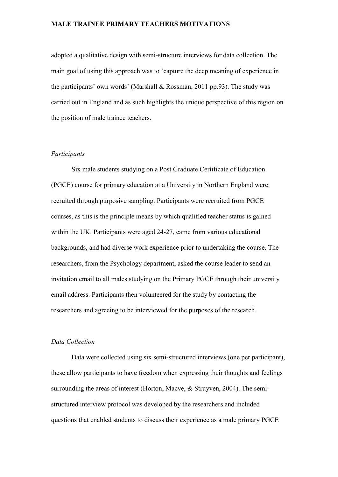adopted a qualitative design with semi-structure interviews for data collection. The main goal of using this approach was to 'capture the deep meaning of experience in the participants' own words' (Marshall & Rossman, 2011 pp.93). The study was carried out in England and as such highlights the unique perspective of this region on the position of male trainee teachers.

#### *Participants*

Six male students studying on a Post Graduate Certificate of Education (PGCE) course for primary education at a University in Northern England were recruited through purposive sampling. Participants were recruited from PGCE courses, as this is the principle means by which qualified teacher status is gained within the UK. Participants were aged 24-27, came from various educational backgrounds, and had diverse work experience prior to undertaking the course. The researchers, from the Psychology department, asked the course leader to send an invitation email to all males studying on the Primary PGCE through their university email address. Participants then volunteered for the study by contacting the researchers and agreeing to be interviewed for the purposes of the research.

#### *Data Collection*

Data were collected using six semi-structured interviews (one per participant), these allow participants to have freedom when expressing their thoughts and feelings surrounding the areas of interest (Horton, Macve, & Struyven, 2004). The semistructured interview protocol was developed by the researchers and included questions that enabled students to discuss their experience as a male primary PGCE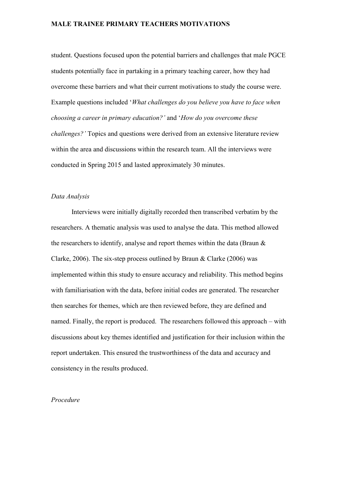student. Questions focused upon the potential barriers and challenges that male PGCE students potentially face in partaking in a primary teaching career, how they had overcome these barriers and what their current motivations to study the course were. Example questions included '*What challenges do you believe you have to face when choosing a career in primary education?'* and '*How do you overcome these challenges?'* Topics and questions were derived from an extensive literature review within the area and discussions within the research team. All the interviews were conducted in Spring 2015 and lasted approximately 30 minutes.

#### *Data Analysis*

Interviews were initially digitally recorded then transcribed verbatim by the researchers. A thematic analysis was used to analyse the data. This method allowed the researchers to identify, analyse and report themes within the data (Braun  $\&$ Clarke, 2006). The six-step process outlined by Braun & Clarke (2006) was implemented within this study to ensure accuracy and reliability. This method begins with familiarisation with the data, before initial codes are generated. The researcher then searches for themes, which are then reviewed before, they are defined and named. Finally, the report is produced. The researchers followed this approach – with discussions about key themes identified and justification for their inclusion within the report undertaken. This ensured the trustworthiness of the data and accuracy and consistency in the results produced.

## *Procedure*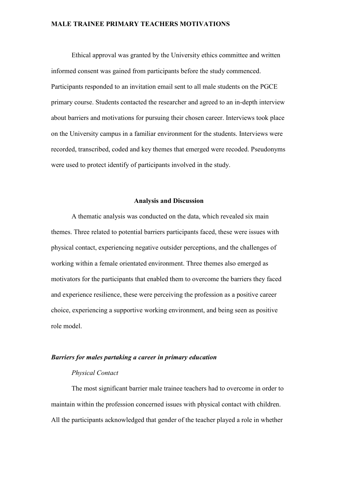Ethical approval was granted by the University ethics committee and written informed consent was gained from participants before the study commenced. Participants responded to an invitation email sent to all male students on the PGCE primary course. Students contacted the researcher and agreed to an in-depth interview about barriers and motivations for pursuing their chosen career. Interviews took place on the University campus in a familiar environment for the students. Interviews were recorded, transcribed, coded and key themes that emerged were recoded. Pseudonyms were used to protect identify of participants involved in the study.

#### **Analysis and Discussion**

A thematic analysis was conducted on the data, which revealed six main themes. Three related to potential barriers participants faced, these were issues with physical contact, experiencing negative outsider perceptions, and the challenges of working within a female orientated environment. Three themes also emerged as motivators for the participants that enabled them to overcome the barriers they faced and experience resilience, these were perceiving the profession as a positive career choice, experiencing a supportive working environment, and being seen as positive role model.

#### *Barriers for males partaking a career in primary education*

## *Physical Contact*

The most significant barrier male trainee teachers had to overcome in order to maintain within the profession concerned issues with physical contact with children. All the participants acknowledged that gender of the teacher played a role in whether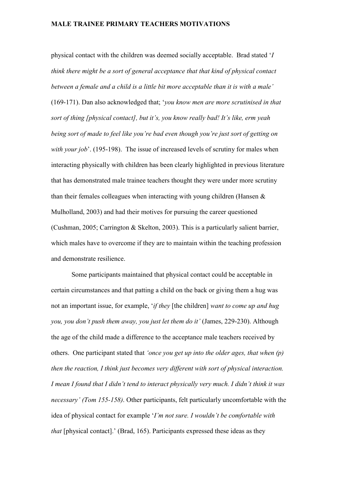physical contact with the children was deemed socially acceptable. Brad stated '*I think there might be a sort of general acceptance that that kind of physical contact between a female and a child is a little bit more acceptable than it is with a male'* (169-171). Dan also acknowledged that; '*you know men are more scrutinised in that sort of thing [physical contact], but it's, you know really bad! It's like, erm yeah being sort of made to feel like you're bad even though you're just sort of getting on with your job*'. (195-198). The issue of increased levels of scrutiny for males when interacting physically with children has been clearly highlighted in previous literature that has demonstrated male trainee teachers thought they were under more scrutiny than their females colleagues when interacting with young children (Hansen & Mulholland, 2003) and had their motives for pursuing the career questioned (Cushman, 2005; Carrington & Skelton, 2003). This is a particularly salient barrier, which males have to overcome if they are to maintain within the teaching profession and demonstrate resilience.

Some participants maintained that physical contact could be acceptable in certain circumstances and that patting a child on the back or giving them a hug was not an important issue, for example, '*if they* [the children] *want to come up and hug you, you don't push them away, you just let them do it'* (James, 229-230). Although the age of the child made a difference to the acceptance male teachers received by others. One participant stated that *'once you get up into the older ages, that when (p) then the reaction, I think just becomes very different with sort of physical interaction. I mean I found that I didn't tend to interact physically very much. I didn't think it was necessary' (Tom 155-158)*. Other participants, felt particularly uncomfortable with the idea of physical contact for example '*I'm not sure. I wouldn't be comfortable with that* [physical contact].' (Brad, 165). Participants expressed these ideas as they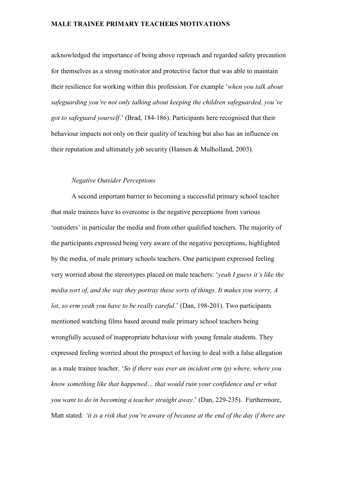acknowledged the importance of being above reproach and regarded safety precaution for themselves as a strong motivator and protective factor that was able to maintain their resilience for working within this profession. For example '*when you talk about safeguarding you're not only talking about keeping the children safeguarded, you've got to safeguard yourself*.' (Brad, 184-186). Participants here recognised that their behaviour impacts not only on their quality of teaching but also has an influence on their reputation and ultimately job security (Hansen & Mulholland, 2003).

# *Negative Outsider Perceptions*

A second important barrier to becoming a successful primary school teacher that male trainees have to overcome is the negative perceptions from various 'outsiders' in particular the media and from other qualified teachers. The majority of the participants expressed being very aware of the negative perceptions, highlighted by the media, of male primary schools teachers. One participant expressed feeling very worried about the stereotypes placed on male teachers: '*yeah I guess it's like the media sort of, and the way they portray these sorts of things. It makes you worry, A lot, so erm yeah you have to be really careful.*' (Dan, 198-201). Two participants mentioned watching films based around male primary school teachers being wrongfully accused of inappropriate behaviour with young female students. They expressed feeling worried about the prospect of having to deal with a false allegation as a male trainee teacher. '*So if there was ever an incident erm (p) where, where you know something like that happened… that would ruin your confidence and er what you want to do in becoming a teacher straight away*.' (Dan, 229-235). Furthermore, Matt stated*: 'it is a risk that you're aware of because at the end of the day if there are*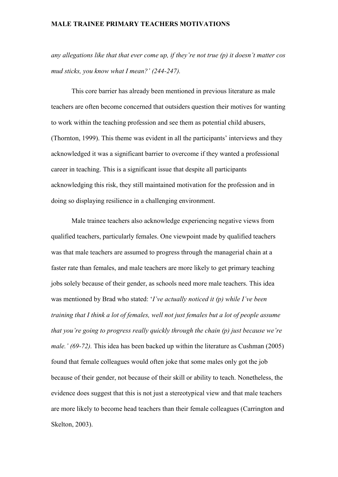*any allegations like that that ever come up, if they're not true (p) it doesn't matter cos mud sticks, you know what I mean?' (244-247).* 

This core barrier has already been mentioned in previous literature as male teachers are often become concerned that outsiders question their motives for wanting to work within the teaching profession and see them as potential child abusers, (Thornton, 1999). This theme was evident in all the participants' interviews and they acknowledged it was a significant barrier to overcome if they wanted a professional career in teaching. This is a significant issue that despite all participants acknowledging this risk, they still maintained motivation for the profession and in doing so displaying resilience in a challenging environment.

Male trainee teachers also acknowledge experiencing negative views from qualified teachers, particularly females. One viewpoint made by qualified teachers was that male teachers are assumed to progress through the managerial chain at a faster rate than females, and male teachers are more likely to get primary teaching jobs solely because of their gender, as schools need more male teachers. This idea was mentioned by Brad who stated: '*I've actually noticed it (p) while I've been training that I think a lot of females, well not just females but a lot of people assume that you're going to progress really quickly through the chain (p) just because we're male.' (69-72).* This idea has been backed up within the literature as Cushman (2005) found that female colleagues would often joke that some males only got the job because of their gender, not because of their skill or ability to teach. Nonetheless, the evidence does suggest that this is not just a stereotypical view and that male teachers are more likely to become head teachers than their female colleagues (Carrington and Skelton, 2003).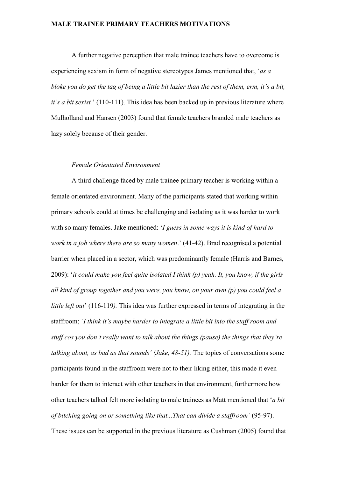A further negative perception that male trainee teachers have to overcome is experiencing sexism in form of negative stereotypes James mentioned that, '*as a bloke you do get the tag of being a little bit lazier than the rest of them, erm, it's a bit, it's a bit sexist.*' (110-111). This idea has been backed up in previous literature where Mulholland and Hansen (2003) found that female teachers branded male teachers as lazy solely because of their gender.

#### *Female Orientated Environment*

A third challenge faced by male trainee primary teacher is working within a female orientated environment. Many of the participants stated that working within primary schools could at times be challenging and isolating as it was harder to work with so many females. Jake mentioned: '*I guess in some ways it is kind of hard to work in a job where there are so many women*.' (41-42). Brad recognised a potential barrier when placed in a sector, which was predominantly female (Harris and Barnes, 2009): '*it could make you feel quite isolated I think (p) yeah. It, you know, if the girls all kind of group together and you were, you know, on your own (p) you could feel a little left out*' (116-119*).* This idea was further expressed in terms of integrating in the staffroom; *'I think it's maybe harder to integrate a little bit into the staff room and stuff cos you don't really want to talk about the things (pause) the things that they're talking about, as bad as that sounds' (Jake, 48-51).* The topics of conversations some participants found in the staffroom were not to their liking either, this made it even harder for them to interact with other teachers in that environment, furthermore how other teachers talked felt more isolating to male trainees as Matt mentioned that '*a bit of bitching going on or something like that...That can divide a staffroom'* (95-97). These issues can be supported in the previous literature as Cushman (2005) found that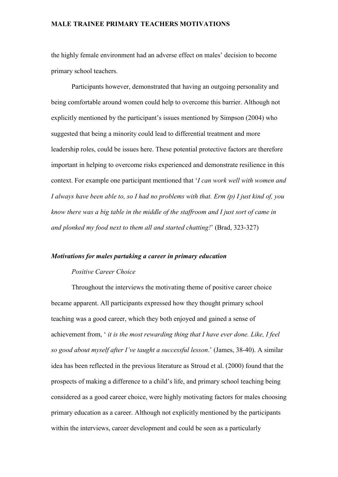the highly female environment had an adverse effect on males' decision to become primary school teachers.

Participants however, demonstrated that having an outgoing personality and being comfortable around women could help to overcome this barrier. Although not explicitly mentioned by the participant's issues mentioned by Simpson (2004) who suggested that being a minority could lead to differential treatment and more leadership roles, could be issues here. These potential protective factors are therefore important in helping to overcome risks experienced and demonstrate resilience in this context. For example one participant mentioned that '*I can work well with women and I always have been able to, so I had no problems with that. Erm (p) I just kind of, you know there was a big table in the middle of the staffroom and I just sort of came in and plonked my food next to them all and started chatting!*' (Brad, 323-327)

## *Motivations for males partaking a career in primary education*

## *Positive Career Choice*

Throughout the interviews the motivating theme of positive career choice became apparent. All participants expressed how they thought primary school teaching was a good career, which they both enjoyed and gained a sense of achievement from, ' *it is the most rewarding thing that I have ever done. Like, I feel so good about myself after I've taught a successful lesson*.' (James, 38-40). A similar idea has been reflected in the previous literature as Stroud et al. (2000) found that the prospects of making a difference to a child's life, and primary school teaching being considered as a good career choice, were highly motivating factors for males choosing primary education as a career. Although not explicitly mentioned by the participants within the interviews, career development and could be seen as a particularly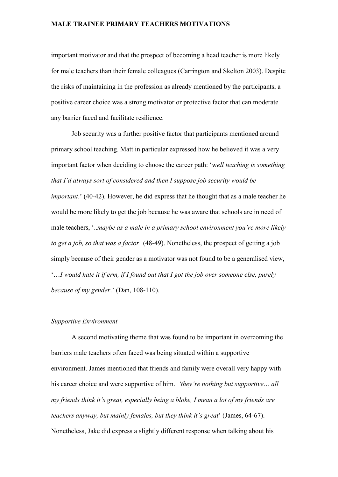important motivator and that the prospect of becoming a head teacher is more likely for male teachers than their female colleagues (Carrington and Skelton 2003). Despite the risks of maintaining in the profession as already mentioned by the participants, a positive career choice was a strong motivator or protective factor that can moderate any barrier faced and facilitate resilience.

Job security was a further positive factor that participants mentioned around primary school teaching. Matt in particular expressed how he believed it was a very important factor when deciding to choose the career path: 'w*ell teaching is something that I'd always sort of considered and then I suppose job security would be important*.' (40-42). However, he did express that he thought that as a male teacher he would be more likely to get the job because he was aware that schools are in need of male teachers, '..*maybe as a male in a primary school environment you're more likely to get a job, so that was a factor'* (48-49). Nonetheless, the prospect of getting a job simply because of their gender as a motivator was not found to be a generalised view, '…*I would hate it if erm, if I found out that I got the job over someone else, purely because of my gender*.' (Dan, 108-110).

#### *Supportive Environment*

A second motivating theme that was found to be important in overcoming the barriers male teachers often faced was being situated within a supportive environment. James mentioned that friends and family were overall very happy with his career choice and were supportive of him. *'they're nothing but supportive… all my friends think it's great, especially being a bloke, I mean a lot of my friends are teachers anyway, but mainly females, but they think it's great*' (James, 64-67). Nonetheless, Jake did express a slightly different response when talking about his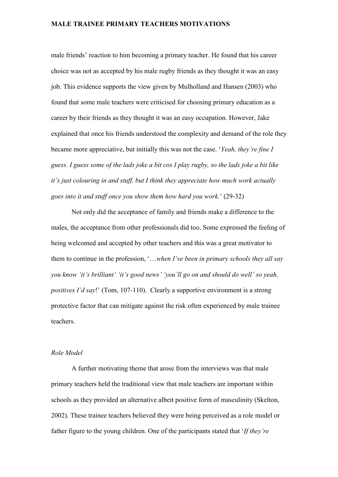male friends' reaction to him becoming a primary teacher. He found that his career choice was not as accepted by his male rugby friends as they thought it was an easy job. This evidence supports the view given by Mulholland and Hansen (2003) who found that some male teachers were criticised for choosing primary education as a career by their friends as they thought it was an easy occupation. However, Jake explained that once his friends understood the complexity and demand of the role they became more appreciative, but initially this was not the case. '*Yeah, they're fine I guess. I guess some of the lads joke a bit cos I play rugby, so the lads joke a bit like it's just colouring in and stuff, but I think they appreciate how much work actually goes into it and stuff once you show them how hard you work.*' (29-32)

Not only did the acceptance of family and friends make a difference to the males, the acceptance from other professionals did too. Some expressed the feeling of being welcomed and accepted by other teachers and this was a great motivator to them to continue in the profession, '…*when I've been in primary schools they all say you know 'it's brilliant' 'it's good news' 'you'll go on and should do well' so yeah, positives I'd say*!' (Tom, 107-110). Clearly a supportive environment is a strong protective factor that can mitigate against the risk often experienced by male trainee teachers.

## *Role Model*

A further motivating theme that arose from the interviews was that male primary teachers held the traditional view that male teachers are important within schools as they provided an alternative albeit positive form of masculinity (Skelton, 2002). These trainee teachers believed they were being perceived as a role model or father figure to the young children. One of the participants stated that '*If they're*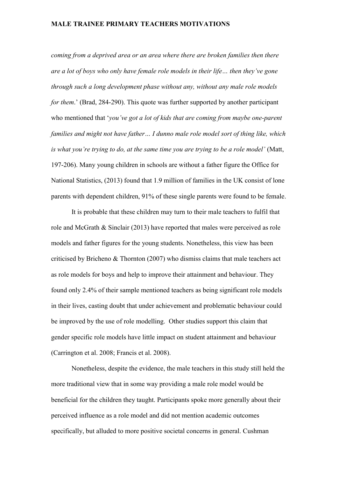*coming from a deprived area or an area where there are broken families then there are a lot of boys who only have female role models in their life… then they've gone through such a long development phase without any, without any male role models for them*.' (Brad, 284-290). This quote was further supported by another participant who mentioned that '*you've got a lot of kids that are coming from maybe one-parent families and might not have father… I dunno male role model sort of thing like, which is what you're trying to do, at the same time you are trying to be a role model'* (Matt, 197-206). Many young children in schools are without a father figure the Office for National Statistics, (2013) found that 1.9 million of families in the UK consist of lone parents with dependent children, 91% of these single parents were found to be female.

It is probable that these children may turn to their male teachers to fulfil that role and McGrath & Sinclair (2013) have reported that males were perceived as role models and father figures for the young students. Nonetheless, this view has been criticised by Bricheno & Thornton (2007) who dismiss claims that male teachers act as role models for boys and help to improve their attainment and behaviour. They found only 2.4% of their sample mentioned teachers as being significant role models in their lives, casting doubt that under achievement and problematic behaviour could be improved by the use of role modelling. Other studies support this claim that gender specific role models have little impact on student attainment and behaviour (Carrington et al. 2008; Francis et al. 2008).

Nonetheless, despite the evidence, the male teachers in this study still held the more traditional view that in some way providing a male role model would be beneficial for the children they taught. Participants spoke more generally about their perceived influence as a role model and did not mention academic outcomes specifically, but alluded to more positive societal concerns in general. Cushman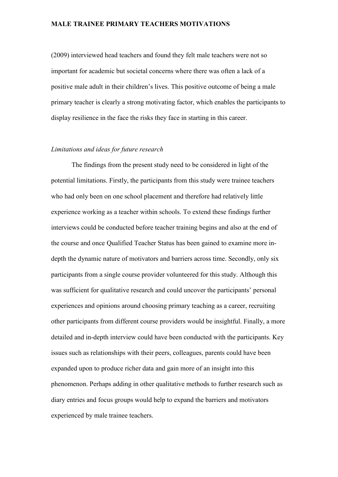(2009) interviewed head teachers and found they felt male teachers were not so important for academic but societal concerns where there was often a lack of a positive male adult in their children's lives. This positive outcome of being a male primary teacher is clearly a strong motivating factor, which enables the participants to display resilience in the face the risks they face in starting in this career.

#### *Limitations and ideas for future research*

The findings from the present study need to be considered in light of the potential limitations. Firstly, the participants from this study were trainee teachers who had only been on one school placement and therefore had relatively little experience working as a teacher within schools. To extend these findings further interviews could be conducted before teacher training begins and also at the end of the course and once Qualified Teacher Status has been gained to examine more indepth the dynamic nature of motivators and barriers across time. Secondly, only six participants from a single course provider volunteered for this study. Although this was sufficient for qualitative research and could uncover the participants' personal experiences and opinions around choosing primary teaching as a career, recruiting other participants from different course providers would be insightful. Finally, a more detailed and in-depth interview could have been conducted with the participants. Key issues such as relationships with their peers, colleagues, parents could have been expanded upon to produce richer data and gain more of an insight into this phenomenon. Perhaps adding in other qualitative methods to further research such as diary entries and focus groups would help to expand the barriers and motivators experienced by male trainee teachers.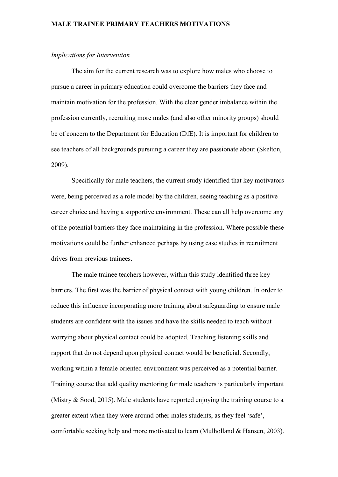#### *Implications for Intervention*

The aim for the current research was to explore how males who choose to pursue a career in primary education could overcome the barriers they face and maintain motivation for the profession. With the clear gender imbalance within the profession currently, recruiting more males (and also other minority groups) should be of concern to the Department for Education (DfE). It is important for children to see teachers of all backgrounds pursuing a career they are passionate about (Skelton, 2009).

Specifically for male teachers, the current study identified that key motivators were, being perceived as a role model by the children, seeing teaching as a positive career choice and having a supportive environment. These can all help overcome any of the potential barriers they face maintaining in the profession. Where possible these motivations could be further enhanced perhaps by using case studies in recruitment drives from previous trainees.

The male trainee teachers however, within this study identified three key barriers. The first was the barrier of physical contact with young children. In order to reduce this influence incorporating more training about safeguarding to ensure male students are confident with the issues and have the skills needed to teach without worrying about physical contact could be adopted. Teaching listening skills and rapport that do not depend upon physical contact would be beneficial. Secondly, working within a female oriented environment was perceived as a potential barrier. Training course that add quality mentoring for male teachers is particularly important (Mistry & Sood, 2015). Male students have reported enjoying the training course to a greater extent when they were around other males students, as they feel 'safe', comfortable seeking help and more motivated to learn (Mulholland & Hansen, 2003).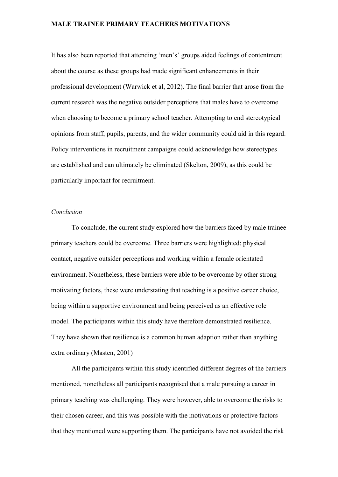It has also been reported that attending 'men's' groups aided feelings of contentment about the course as these groups had made significant enhancements in their professional development (Warwick et al, 2012). The final barrier that arose from the current research was the negative outsider perceptions that males have to overcome when choosing to become a primary school teacher. Attempting to end stereotypical opinions from staff, pupils, parents, and the wider community could aid in this regard. Policy interventions in recruitment campaigns could acknowledge how stereotypes are established and can ultimately be eliminated (Skelton, 2009), as this could be particularly important for recruitment.

#### *Conclusion*

To conclude, the current study explored how the barriers faced by male trainee primary teachers could be overcome. Three barriers were highlighted: physical contact, negative outsider perceptions and working within a female orientated environment. Nonetheless, these barriers were able to be overcome by other strong motivating factors, these were understating that teaching is a positive career choice, being within a supportive environment and being perceived as an effective role model. The participants within this study have therefore demonstrated resilience. They have shown that resilience is a common human adaption rather than anything extra ordinary (Masten, 2001)

All the participants within this study identified different degrees of the barriers mentioned, nonetheless all participants recognised that a male pursuing a career in primary teaching was challenging. They were however, able to overcome the risks to their chosen career, and this was possible with the motivations or protective factors that they mentioned were supporting them. The participants have not avoided the risk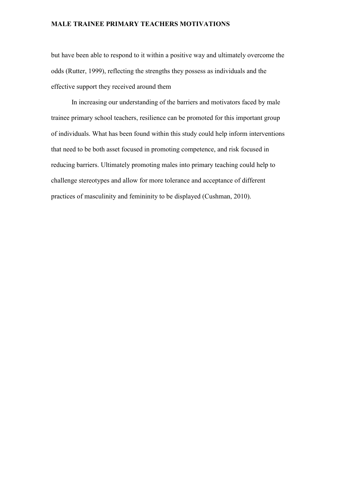but have been able to respond to it within a positive way and ultimately overcome the odds (Rutter, 1999), reflecting the strengths they possess as individuals and the effective support they received around them

In increasing our understanding of the barriers and motivators faced by male trainee primary school teachers, resilience can be promoted for this important group of individuals. What has been found within this study could help inform interventions that need to be both asset focused in promoting competence, and risk focused in reducing barriers. Ultimately promoting males into primary teaching could help to challenge stereotypes and allow for more tolerance and acceptance of different practices of masculinity and femininity to be displayed (Cushman, 2010).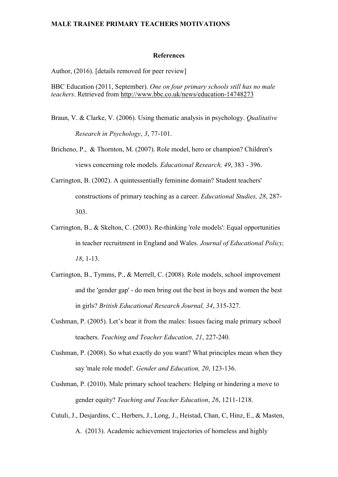#### **References**

Author, (2016). [details removed for peer review]

BBC Education (2011, September). *One on four primary schools still has no male teachers*. Retrieved from <http://www.bbc.co.uk/news/education-14748273>

- Braun, V. & Clarke, V. (2006). Using thematic analysis in psychology. *Qualitative Research in Psychology*, *3*, 77-101.
- Bricheno, P., & Thornton, M. (2007). Role model, hero or champion? Children's views concerning role models. *Educational Research, 49*, 383 - 396.
- Carrington, B. (2002). A quintessentially feminine domain? Student teachers' constructions of primary teaching as a career. *Educational Studies, 28*, 287- 303.
- Carrington, B., & Skelton, C. (2003). Re-thinking 'role models': Equal opportunities in teacher recruitment in England and Wales. *Journal of Educational Policy, 18*, 1-13.
- Carrington, B., Tymms, P., & Merrell, C. (2008). Role models, school improvement and the 'gender gap' - do men bring out the best in boys and women the best in girls? *British Educational Research Journal, 34*, 315-327.
- Cushman, P. (2005). Let's hear it from the males: Issues facing male primary school teachers. *Teaching and Teacher Education, 21*, 227-240.
- Cushman, P. (2008). So what exactly do you want? What principles mean when they say 'male role model'. *Gender and Education, 20*, 123-136.
- Cushman, P. (2010). Male primary school teachers: Helping or hindering a move to gender equity? *Teaching and Teacher Education*, *26*, 1211-1218.
- Cutuli, J., Desjardins, C., Herbers, J., Long, J., Heistad, Chan, C, Hinz, E., & Masten, A. (2013). Academic achievement trajectories of homeless and highly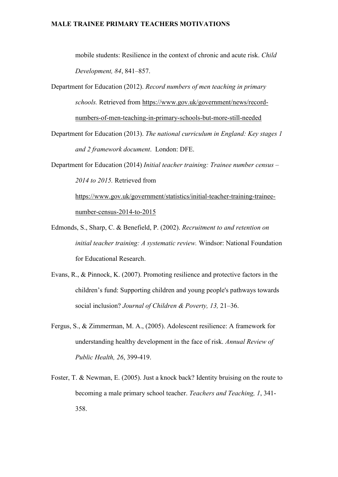mobile students: Resilience in the context of chronic and acute risk. *Child Development, 84*, 841–857.

- Department for Education (2012). *Record numbers of men teaching in primary schools.* Retrieved from [https://www.gov.uk/government/news/record](https://www.gov.uk/government/news/record-numbers-of-men-teaching-in-primary-schools-but-more-still-needed)[numbers-of-men-teaching-in-primary-schools-but-more-still-needed](https://www.gov.uk/government/news/record-numbers-of-men-teaching-in-primary-schools-but-more-still-needed)
- Department for Education (2013). *The national curriculum in England: Key stages 1 and 2 framework document*. London: DFE.
- Department for Education (2014) *Initial teacher training: Trainee number census – 2014 to 2015.* Retrieved from [https://www.gov.uk/government/statistics/initial-teacher-training-trainee-](https://www.gov.uk/government/statistics/initial-teacher-training-trainee-number-census-2014-to-2015)

[number-census-2014-to-2015](https://www.gov.uk/government/statistics/initial-teacher-training-trainee-number-census-2014-to-2015)

- Edmonds, S., Sharp, C. & Benefield, P. (2002). *Recruitment to and retention on initial teacher training: A systematic review.* Windsor: National Foundation for Educational Research.
- Evans, R., & Pinnock, K. (2007). Promoting resilience and protective factors in the children's fund: Supporting children and young people's pathways towards social inclusion? *Journal of Children & Poverty, 13,* 21–36.
- Fergus, S., & Zimmerman, M. A., (2005). Adolescent resilience: A framework for understanding healthy development in the face of risk. *Annual Review of Public Health, 26*, 399-419.
- Foster, T. & Newman, E. (2005). Just a knock back? Identity bruising on the route to becoming a male primary school teacher. *Teachers and Teaching, 1*, 341- 358.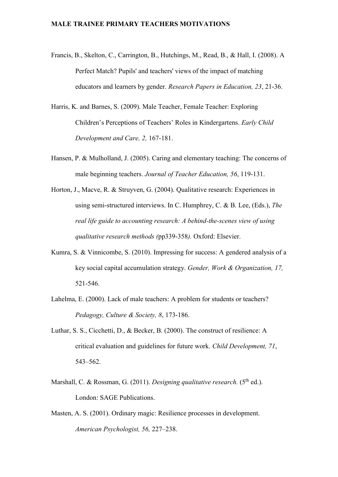- Francis, B., Skelton, C., Carrington, B., Hutchings, M., Read, B., & Hall, I. (2008). A Perfect Match? Pupils' and teachers' views of the impact of matching educators and learners by gender. *Research Papers in Education, 23*, 21-36.
- Harris, K. and Barnes, S. (2009). Male Teacher, Female Teacher: Exploring Children's Perceptions of Teachers' Roles in Kindergartens. *Early Child Development and Care, 2,* 167-181.
- Hansen, P. & Mulholland, J. (2005). Caring and elementary teaching: The concerns of male beginning teachers. *Journal of Teacher Education, 56*, 119-131.
- Horton, J., Macve, R. & Struyven, G. (2004). Qualitative research: Experiences in using semi-structured interviews. In C. Humphrey, C. & B. Lee, (Eds.), *The real life guide to accounting research: A behind-the-scenes view of using qualitative research methods (*pp339-358*).* Oxford: Elsevier.
- Kumra, S. & Vinnicombe, S. (2010). Impressing for success: A gendered analysis of a key social capital accumulation strategy. *Gender, Work & Organization, 17,* 521-546.
- Lahelma, E. (2000). Lack of male teachers: A problem for students or teachers? *Pedagogy, Culture & Society, 8*, 173-186.
- Luthar, S. S., Cicchetti, D., & Becker, B. (2000). The construct of resilience: A critical evaluation and guidelines for future work. *Child Development, 71*, 543–562.
- Marshall, C. & Rossman, G. (2011). *Designing qualitative research*. (5<sup>th</sup> ed.). London: SAGE Publications.
- Masten, A. S. (2001). Ordinary magic: Resilience processes in development. *American Psychologist, 56,* 227–238.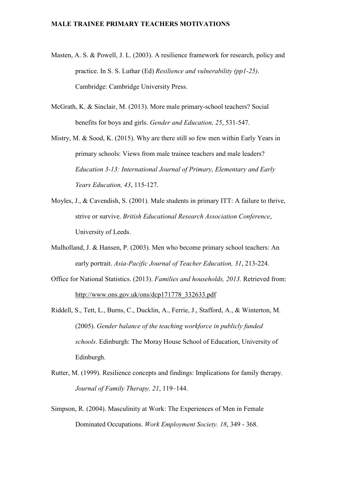- Masten, A. S. & Powell, J. L. (2003). A resilience framework for research, policy and practice. In S. S. Luthar (Ed) *Resilience and vulnerability (pp1-25)*. Cambridge: Cambridge University Press.
- McGrath, K. & Sinclair, M. (2013). More male primary-school teachers? Social benefits for boys and girls. *Gender and Education, 25*, 531-547.
- Mistry, M. & Sood, K. (2015). Why are there still so few men within Early Years in primary schools: Views from male trainee teachers and male leaders? *Education 3-13: International Journal of Primary, Elementary and Early Years Education, 43*, 115-127.
- Moyles, J., & Cavendish, S. (2001). Male students in primary ITT: A failure to thrive, strive or survive. *British Educational Research Association Conference*, University of Leeds.
- Mulholland, J. & Hansen, P. (2003). Men who become primary school teachers: An early portrait. *Asia-Pacific Journal of Teacher Education, 31*, 213-224.
- Office for National Statistics. (2013). *Families and households, 2013.* Retrieved from: [http://www.ons.gov.uk/ons/dcp171778\\_332633.pdf](http://www.ons.gov.uk/ons/dcp171778_332633.pdf)
- Riddell, S., Tett, L., Burns, C., Ducklin, A., Ferrie, J., Stafford, A., & Winterton, M. (2005). *Gender balance of the teaching workforce in publicly funded schools*. Edinburgh: The Moray House School of Education, University of Edinburgh.
- Rutter, M. (1999). Resilience concepts and findings: Implications for family therapy. *Journal of Family Therapy, 21*, 119–144.
- Simpson, R. (2004). Masculinity at Work: The Experiences of Men in Female Dominated Occupations. *Work Employment Society. 18*, 349 - 368.